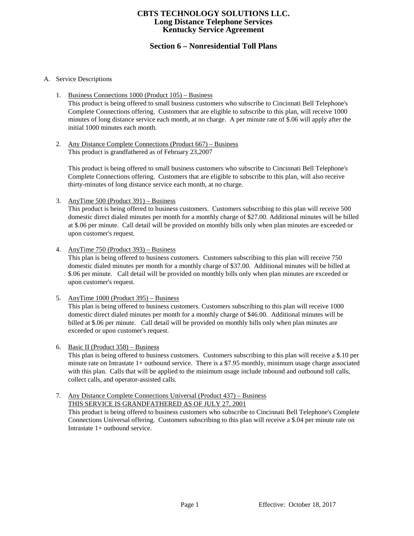# **Section 6 – Nonresidential Toll Plans**

## A. Service Descriptions

- 1. Business Connections 1000 (Product 105) Business This product is being offered to small business customers who subscribe to Cincinnati Bell Telephone's Complete Connections offering. Customers that are eligible to subscribe to this plan, will receive 1000 minutes of long distance service each month, at no charge. A per minute rate of \$.06 will apply after the initial 1000 minutes each month.
- 2. Any Distance Complete Connections (Product 667) Business This product is grandfathered as of February 23,2007

This product is being offered to small business customers who subscribe to Cincinnati Bell Telephone's Complete Connections offering. Customers that are eligible to subscribe to this plan, will also receive thirty-minutes of long distance service each month, at no charge.

3. AnyTime 500 (Product 391) – Business

This product is being offered to business customers. Customers subscribing to this plan will receive 500 domestic direct dialed minutes per month for a monthly charge of \$27.00. Additional minutes will be billed at \$.06 per minute. Call detail will be provided on monthly bills only when plan minutes are exceeded or upon customer's request.

4. AnyTime 750 (Product 393) – Business

This plan is being offered to business customers. Customers subscribing to this plan will receive 750 domestic dialed minutes per month for a monthly charge of \$37.00. Additional minutes will be billed at \$.06 per minute. Call detail will be provided on monthly bills only when plan minutes are exceeded or upon customer's request.

5. AnyTime 1000 (Product 395) – Business

This plan is being offered to business customers. Customers subscribing to this plan will receive 1000 domestic direct dialed minutes per month for a monthly charge of \$46.00. Additional minutes will be billed at \$.06 per minute. Call detail will be provided on monthly bills only when plan minutes are exceeded or upon customer's request.

#### 6. Basic II (Product 358) – Business

This plan is being offered to business customers. Customers subscribing to this plan will receive a \$.10 per minute rate on Intrastate 1+ outbound service. There is a \$7.95 monthly, minimum usage charge associated with this plan. Calls that will be applied to the minimum usage include inbound and outbound toll calls, collect calls, and operator-assisted calls.

#### 7. Any Distance Complete Connections Universal (Product 437) – Business THIS SERVICE IS GRANDFATHERED AS OF JULY 27, 2001

This product is being offered to business customers who subscribe to Cincinnati Bell Telephone's Complete Connections Universal offering. Customers subscribing to this plan will receive a \$.04 per minute rate on Intrastate 1+ outbound service.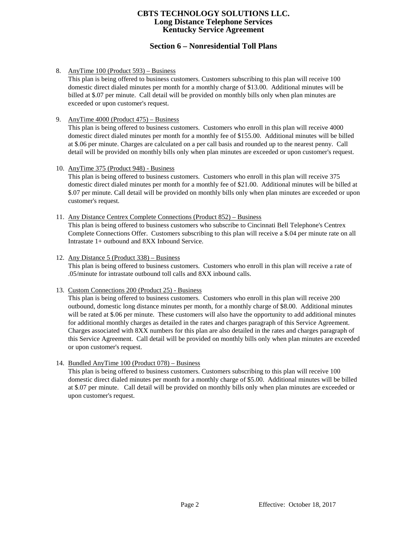# **Section 6 – Nonresidential Toll Plans**

8. AnyTime 100 (Product 593) – Business

This plan is being offered to business customers. Customers subscribing to this plan will receive 100 domestic direct dialed minutes per month for a monthly charge of \$13.00. Additional minutes will be billed at \$.07 per minute. Call detail will be provided on monthly bills only when plan minutes are exceeded or upon customer's request.

9. AnyTime 4000 (Product 475) – Business

This plan is being offered to business customers. Customers who enroll in this plan will receive 4000 domestic direct dialed minutes per month for a monthly fee of \$155.00. Additional minutes will be billed at \$.06 per minute. Charges are calculated on a per call basis and rounded up to the nearest penny. Call detail will be provided on monthly bills only when plan minutes are exceeded or upon customer's request.

10. AnyTime 375 (Product 948) - Business

This plan is being offered to business customers. Customers who enroll in this plan will receive 375 domestic direct dialed minutes per month for a monthly fee of \$21.00. Additional minutes will be billed at \$.07 per minute. Call detail will be provided on monthly bills only when plan minutes are exceeded or upon customer's request.

11. Any Distance Centrex Complete Connections (Product 852) – Business

This plan is being offered to business customers who subscribe to Cincinnati Bell Telephone's Centrex Complete Connections Offer. Customers subscribing to this plan will receive a \$.04 per minute rate on all Intrastate 1+ outbound and 8XX Inbound Service.

## 12. Any Distance 5 (Product 338) – Business

This plan is being offered to business customers. Customers who enroll in this plan will receive a rate of .05/minute for intrastate outbound toll calls and 8XX inbound calls.

#### 13. Custom Connections 200 (Product 25) - Business

This plan is being offered to business customers. Customers who enroll in this plan will receive 200 outbound, domestic long distance minutes per month, for a monthly charge of \$8.00. Additional minutes will be rated at \$.06 per minute. These customers will also have the opportunity to add additional minutes for additional monthly charges as detailed in the rates and charges paragraph of this Service Agreement. Charges associated with 8XX numbers for this plan are also detailed in the rates and charges paragraph of this Service Agreement. Call detail will be provided on monthly bills only when plan minutes are exceeded or upon customer's request.

## 14. Bundled AnyTime 100 (Product 078) – Business

This plan is being offered to business customers. Customers subscribing to this plan will receive 100 domestic direct dialed minutes per month for a monthly charge of \$5.00. Additional minutes will be billed at \$.07 per minute. Call detail will be provided on monthly bills only when plan minutes are exceeded or upon customer's request.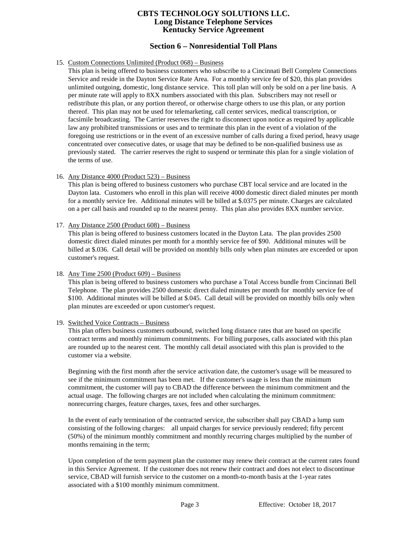## **Section 6 – Nonresidential Toll Plans**

## 15. Custom Connections Unlimited (Product 068) – Business

This plan is being offered to business customers who subscribe to a Cincinnati Bell Complete Connections Service and reside in the Dayton Service Rate Area. For a monthly service fee of \$20, this plan provides unlimited outgoing, domestic, long distance service. This toll plan will only be sold on a per line basis. A per minute rate will apply to 8XX numbers associated with this plan. Subscribers may not resell or redistribute this plan, or any portion thereof, or otherwise charge others to use this plan, or any portion thereof. This plan may not be used for telemarketing, call center services, medical transcription, or facsimile broadcasting. The Carrier reserves the right to disconnect upon notice as required by applicable law any prohibited transmissions or uses and to terminate this plan in the event of a violation of the foregoing use restrictions or in the event of an excessive number of calls during a fixed period, heavy usage concentrated over consecutive dates, or usage that may be defined to be non-qualified business use as previously stated. The carrier reserves the right to suspend or terminate this plan for a single violation of the terms of use.

## 16. Any Distance 4000 (Product 523) – Business

This plan is being offered to business customers who purchase CBT local service and are located in the Dayton lata. Customers who enroll in this plan will receive 4000 domestic direct dialed minutes per month for a monthly service fee. Additional minutes will be billed at \$.0375 per minute. Charges are calculated on a per call basis and rounded up to the nearest penny. This plan also provides 8XX number service.

#### 17. Any Distance 2500 (Product 608) – Business

This plan is being offered to business customers located in the Dayton Lata. The plan provides 2500 domestic direct dialed minutes per month for a monthly service fee of \$90. Additional minutes will be billed at \$.036. Call detail will be provided on monthly bills only when plan minutes are exceeded or upon customer's request.

#### 18. Any Time 2500 (Product 609) – Business

This plan is being offered to business customers who purchase a Total Access bundle from Cincinnati Bell Telephone. The plan provides 2500 domestic direct dialed minutes per month for monthly service fee of \$100. Additional minutes will be billed at \$.045. Call detail will be provided on monthly bills only when plan minutes are exceeded or upon customer's request.

#### 19. Switched Voice Contracts – Business

This plan offers business customers outbound, switched long distance rates that are based on specific contract terms and monthly minimum commitments. For billing purposes, calls associated with this plan are rounded up to the nearest cent. The monthly call detail associated with this plan is provided to the customer via a website.

Beginning with the first month after the service activation date, the customer's usage will be measured to see if the minimum commitment has been met. If the customer's usage is less than the minimum commitment, the customer will pay to CBAD the difference between the minimum commitment and the actual usage. The following charges are not included when calculating the minimum commitment: nonrecurring charges, feature charges, taxes, fees and other surcharges.

In the event of early termination of the contracted service, the subscriber shall pay CBAD a lump sum consisting of the following charges: all unpaid charges for service previously rendered; fifty percent (50%) of the minimum monthly commitment and monthly recurring charges multiplied by the number of months remaining in the term;

Upon completion of the term payment plan the customer may renew their contract at the current rates found in this Service Agreement. If the customer does not renew their contract and does not elect to discontinue service, CBAD will furnish service to the customer on a month-to-month basis at the 1-year rates associated with a \$100 monthly minimum commitment.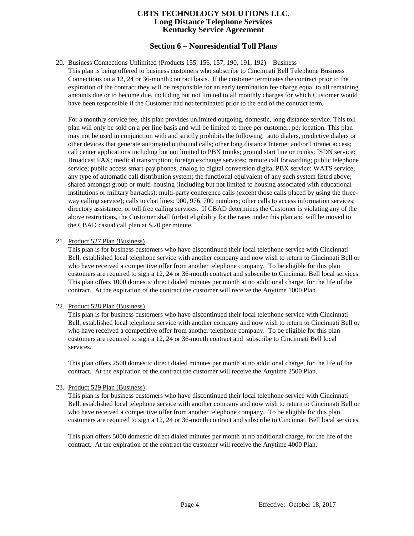# **Section 6 – Nonresidential Toll Plans**

#### 20. Business Connections Unlimited (Products 155, 156, 157, 190, 191, 192) – Business

This plan is being offered to business customers who subscribe to Cincinnati Bell Telephone Business Connections on a 12, 24 or 36-month contract basis. If the customer terminates the contract prior to the expiration of the contract they will be responsible for an early termination fee charge equal to all remaining amounts due or to become due, including but not limited to all monthly charges for which Customer would have been responsible if the Customer had not terminated prior to the end of the contract term.

For a monthly service fee, this plan provides unlimited outgoing, domestic, long distance service. This toll plan will only be sold on a per line basis and will be limited to three per customer, per location. This plan may not be used in conjunction with and strictly prohibits the following: auto dialers, predictive dialers or other devices that generate automated outbound calls; other long distance Internet and/or Intranet access; call center applications including but not limited to PBX trunks; ground start line or trunks: ISDN service: Broadcast FAX; medical transcription; foreign exchange services; remote call forwarding; public telephone service; public access smart-pay phones; analog to digital conversion digital PBX service: WATS service; any type of automatic call distribution system; the functional equivalent of any such system listed above; shared amongst group or multi-housing (including but not limited to housing associated with educational institutions or military barracks); multi-party conference calls (except those calls placed by using the threeway calling service); calls to chat lines: 900, 976, 700 numbers; other calls to access information services; directory assistance; or toll free calling services. If CBAD determines the Customer is violating any of the above restrictions, the Customer shall forfeit eligibility for the rates under this plan and will be moved to the CBAD casual call plan at \$.20 per minute.

#### 21. Product 527 Plan (Business)

This plan is for business customers who have discontinued their local telephone service with Cincinnati Bell, established local telephone service with another company and now wish to return to Cincinnati Bell or who have received a competitive offer from another telephone company. To be eligible for this plan customers are required to sign a 12, 24 or 36-month contract and subscribe to Cincinnati Bell local services. This plan offers 1000 domestic direct dialed minutes per month at no additional charge, for the life of the contract. At the expiration of the contract the customer will receive the Anytime 1000 Plan.

#### 22. Product 528 Plan (Business)

This plan is for business customers who have discontinued their local telephone service with Cincinnati Bell, established local telephone service with another company and now wish to return to Cincinnati Bell or who have received a competitive offer from another telephone company. To be eligible for this plan customers are required to sign a 12, 24 or 36-month contract and subscribe to Cincinnati Bell local services.

This plan offers 2500 domestic direct dialed minutes per month at no additional charge, for the life of the contract. At the expiration of the contract the customer will receive the Anytime 2500 Plan.

#### 23. Product 529 Plan (Business)

This plan is for business customers who have discontinued their local telephone service with Cincinnati Bell, established local telephone service with another company and now wish to return to Cincinnati Bell or who have received a competitive offer from another telephone company. To be eligible for this plan customers are required to sign a 12, 24 or 36-month contract and subscribe to Cincinnati Bell local services.

This plan offers 5000 domestic direct dialed minutes per month at no additional charge, for the life of the contract. At the expiration of the contract the customer will receive the Anytime 4000 Plan.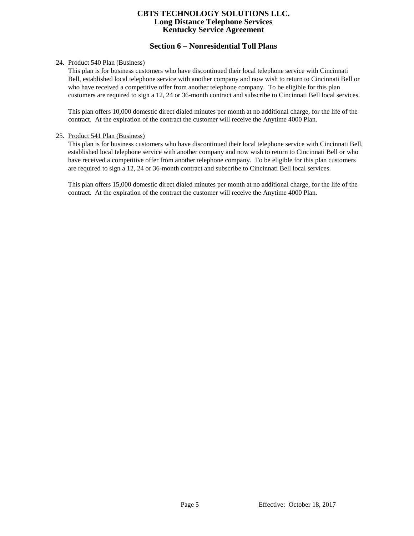# **Section 6 – Nonresidential Toll Plans**

## 24. Product 540 Plan (Business)

This plan is for business customers who have discontinued their local telephone service with Cincinnati Bell, established local telephone service with another company and now wish to return to Cincinnati Bell or who have received a competitive offer from another telephone company. To be eligible for this plan customers are required to sign a 12, 24 or 36-month contract and subscribe to Cincinnati Bell local services.

This plan offers 10,000 domestic direct dialed minutes per month at no additional charge, for the life of the contract. At the expiration of the contract the customer will receive the Anytime 4000 Plan.

#### 25. Product 541 Plan (Business)

This plan is for business customers who have discontinued their local telephone service with Cincinnati Bell, established local telephone service with another company and now wish to return to Cincinnati Bell or who have received a competitive offer from another telephone company. To be eligible for this plan customers are required to sign a 12, 24 or 36-month contract and subscribe to Cincinnati Bell local services.

This plan offers 15,000 domestic direct dialed minutes per month at no additional charge, for the life of the contract. At the expiration of the contract the customer will receive the Anytime 4000 Plan.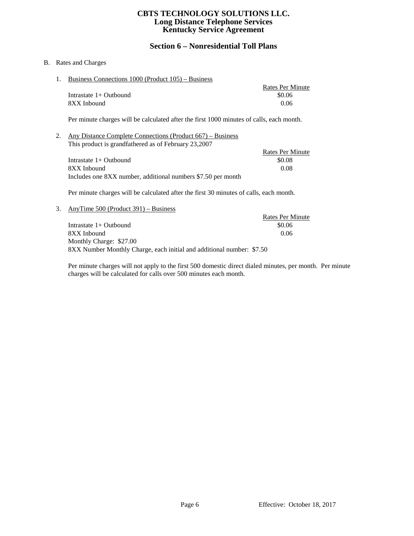# **Section 6 – Nonresidential Toll Plans**

## B. Rates and Charges

1. Business Connections 1000 (Product 105) – Business

|                          | Rates Per Minute |
|--------------------------|------------------|
| Intrastate $1+$ Outbound | \$0.06           |
| 8XX Inbound              | 0.06             |

Per minute charges will be calculated after the first 1000 minutes of calls, each month.

2. Any Distance Complete Connections (Product 667) – Business This product is grandfathered as of February 23,2007

|                                                              | Rates Per Minute |
|--------------------------------------------------------------|------------------|
| Intrastate $1+$ Outbound                                     | \$0.08           |
| 8XX Inbound                                                  | 0.08             |
| Includes one 8XX number, additional numbers \$7.50 per month |                  |

Per minute charges will be calculated after the first 30 minutes of calls, each month.

3. AnyTime 500 (Product 391) – Business Rates Per Minute Intrastate 1+ Outbound \$0.06 8XX Inbound 0.06 Monthly Charge: \$27.00 8XX Number Monthly Charge, each initial and additional number: \$7.50

Per minute charges will not apply to the first 500 domestic direct dialed minutes, per month. Per minute charges will be calculated for calls over 500 minutes each month.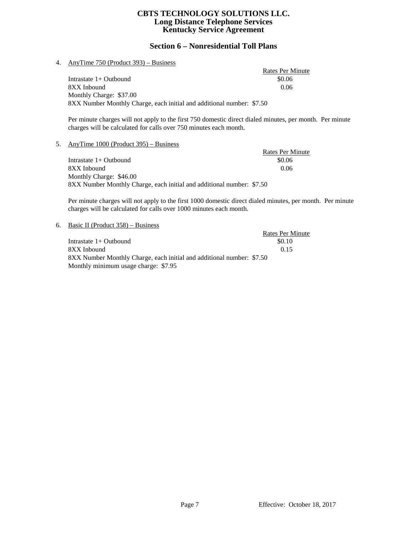# **Section 6 – Nonresidential Toll Plans**

#### 4. AnyTime 750 (Product 393) – Business

Rates Per Minute Intrastate 1+ Outbound \$0.06 8XX Inbound 0.06 Monthly Charge: \$37.00 8XX Number Monthly Charge, each initial and additional number: \$7.50

Per minute charges will not apply to the first 750 domestic direct dialed minutes, per month. Per minute charges will be calculated for calls over 750 minutes each month.

#### 5. AnyTime 1000 (Product 395) – Business

Rates Per Minute<br>\$0.06 Intrastate  $1+$  Outbound 8XX Inbound 0.06 Monthly Charge: \$46.00 8XX Number Monthly Charge, each initial and additional number: \$7.50

Per minute charges will not apply to the first 1000 domestic direct dialed minutes, per month. Per minute charges will be calculated for calls over 1000 minutes each month.

#### 6. Basic II (Product 358) – Business

|                                                                       | <b>Rates Per Minute</b> |
|-----------------------------------------------------------------------|-------------------------|
| Intrastate $1+$ Outbound                                              | \$0.10                  |
| 8XX Inbound                                                           | 0.15                    |
| 8XX Number Monthly Charge, each initial and additional number: \$7.50 |                         |
| Monthly minimum usage charge: \$7.95                                  |                         |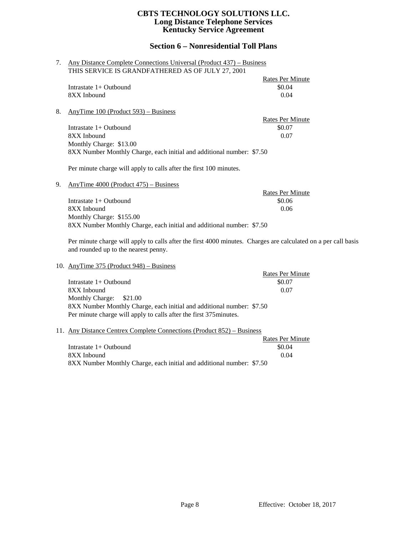# **Section 6 – Nonresidential Toll Plans**

| 7. | Any Distance Complete Connections Universal (Product 437) – Business  |                         |
|----|-----------------------------------------------------------------------|-------------------------|
|    | THIS SERVICE IS GRANDFATHERED AS OF JULY 27, 2001                     |                         |
|    |                                                                       | Rates Per Minute        |
|    | Intrastate $1+$ Outhound                                              | \$0.04                  |
|    | 8XX Inbound                                                           | 0.04                    |
|    |                                                                       |                         |
| 8. | AnyTime $100$ (Product 593) – Business                                |                         |
|    |                                                                       | <b>Rates Per Minute</b> |
|    | Intrastate 1+ Outbound                                                | \$0.07                  |
|    | 8XX Inbound                                                           | 0.07                    |
|    | Monthly Charge: \$13.00                                               |                         |
|    | 8XX Number Monthly Charge, each initial and additional number: \$7.50 |                         |
|    |                                                                       |                         |
|    | Per minute charge will apply to calls after the first 100 minutes.    |                         |
|    |                                                                       |                         |
| 9. | AnyTime $4000$ (Product $475$ ) – Business                            |                         |
|    |                                                                       | <b>Rates Per Minute</b> |
|    | Intrastate 1+ Outbound                                                | \$0.06                  |
|    | 8XX Inbound                                                           | 0.06                    |
|    | Monthly Charge: \$155.00                                              |                         |
|    | 8XX Number Monthly Charge, each initial and additional number: \$7.50 |                         |

Per minute charge will apply to calls after the first 4000 minutes. Charges are calculated on a per call basis and rounded up to the nearest penny.

10. AnyTime 375 (Product 948) – Business

|                                                                       | <b>Rates Per Minute</b> |
|-----------------------------------------------------------------------|-------------------------|
| Intrastate $1+$ Outbound                                              | \$0.07                  |
| 8XX Inbound                                                           | 0.07                    |
| Monthly Charge: \$21.00                                               |                         |
| 8XX Number Monthly Charge, each initial and additional number: \$7.50 |                         |
| Per minute charge will apply to calls after the first 375 minutes.    |                         |

#### 11. Any Distance Centrex Complete Connections (Product 852) – Business

|                                                                       | Rates Per Minute |
|-----------------------------------------------------------------------|------------------|
| Intrastate $1+$ Outbound                                              | \$0.04           |
| 8XX Inbound                                                           | 0.04             |
| 8XX Number Monthly Charge, each initial and additional number: \$7.50 |                  |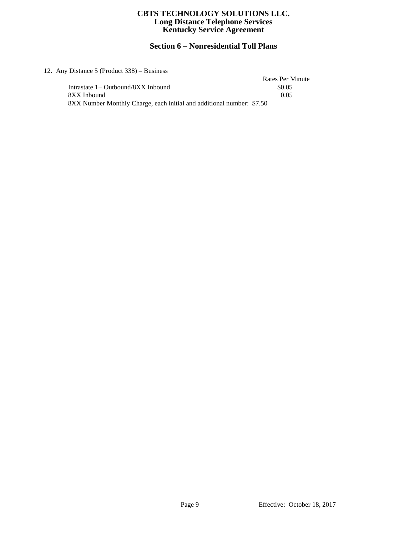# **Section 6 – Nonresidential Toll Plans**

## 12. Any Distance 5 (Product 338) – Business

| Distance $5$ (Product $338$ ) – Business                              |                  |
|-----------------------------------------------------------------------|------------------|
|                                                                       | Rates Per Minute |
| Intrastate 1+ Outbound/8XX Inbound                                    | \$0.05           |
| 8XX Inbound                                                           | 0.05             |
| 8XX Number Monthly Charge, each initial and additional number: \$7.50 |                  |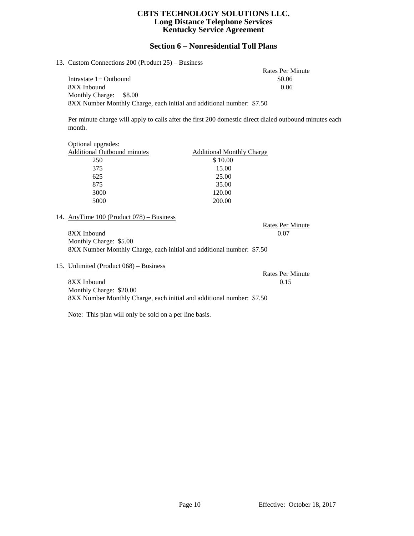# **Section 6 – Nonresidential Toll Plans**

## 13. Custom Connections 200 (Product 25) – Business

Rates Per Minute Intrastate 1+ Outbound \$0.06 8XX Inbound 0.06 Monthly Charge: \$8.00 8XX Number Monthly Charge, each initial and additional number: \$7.50

Per minute charge will apply to calls after the first 200 domestic direct dialed outbound minutes each month.

| <b>Additional Monthly Charge</b> |
|----------------------------------|
| \$10.00                          |
| 15.00                            |
| 25.00                            |
| 35.00                            |
| 120.00                           |
| 200.00                           |
|                                  |

#### 14. AnyTime 100 (Product 078) – Business

8XX Inbound 0.07 Monthly Charge: \$5.00 8XX Number Monthly Charge, each initial and additional number: \$7.50

15. Unlimited (Product 068) – Business

Rates Per Minute 8XX Inbound 0.15 Monthly Charge: \$20.00 8XX Number Monthly Charge, each initial and additional number: \$7.50

Note: This plan will only be sold on a per line basis.

Rates Per Minute